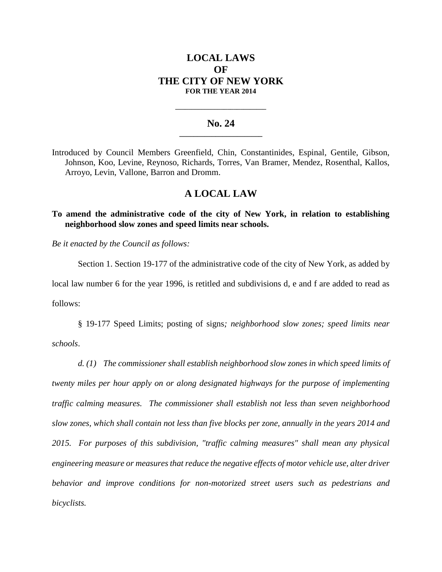# **LOCAL LAWS OF THE CITY OF NEW YORK FOR THE YEAR 2014**

#### **No. 24 \_\_\_\_\_\_\_\_\_\_\_\_\_\_\_\_\_\_\_\_\_\_\_**

**\_\_\_\_\_\_\_\_\_\_\_\_\_\_\_\_\_\_\_\_\_\_\_\_\_\_\_\_**

Introduced by Council Members Greenfield, Chin, Constantinides, Espinal, Gentile, Gibson, Johnson, Koo, Levine, Reynoso, Richards, Torres, Van Bramer, Mendez, Rosenthal, Kallos, Arroyo, Levin, Vallone, Barron and Dromm.

## **A LOCAL LAW**

## **To amend the administrative code of the city of New York, in relation to establishing neighborhood slow zones and speed limits near schools.**

*Be it enacted by the Council as follows:*

Section 1. Section 19-177 of the administrative code of the city of New York, as added by local law number 6 for the year 1996, is retitled and subdivisions d, e and f are added to read as follows:

§ 19-177 Speed Limits; posting of signs*; neighborhood slow zones; speed limits near schools*.

*d. (1) The commissioner shall establish neighborhood slow zones in which speed limits of twenty miles per hour apply on or along designated highways for the purpose of implementing traffic calming measures. The commissioner shall establish not less than seven neighborhood slow zones, which shall contain not less than five blocks per zone, annually in the years 2014 and 2015. For purposes of this subdivision, "traffic calming measures" shall mean any physical engineering measure or measures that reduce the negative effects of motor vehicle use, alter driver behavior and improve conditions for non-motorized street users such as pedestrians and bicyclists.*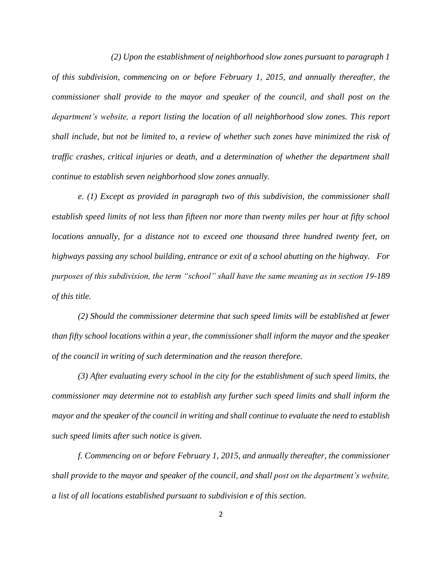*(2) Upon the establishment of neighborhood slow zones pursuant to paragraph 1 of this subdivision, commencing on or before February 1, 2015, and annually thereafter, the commissioner shall provide to the mayor and speaker of the council, and shall post on the department's website, a report listing the location of all neighborhood slow zones. This report shall include, but not be limited to, a review of whether such zones have minimized the risk of traffic crashes, critical injuries or death, and a determination of whether the department shall continue to establish seven neighborhood slow zones annually.*

*e. (1) Except as provided in paragraph two of this subdivision, the commissioner shall establish speed limits of not less than fifteen nor more than twenty miles per hour at fifty school locations annually, for a distance not to exceed one thousand three hundred twenty feet, on highways passing any school building, entrance or exit of a school abutting on the highway. For purposes of this subdivision, the term "school" shall have the same meaning as in section 19-189 of this title.*

*(2) Should the commissioner determine that such speed limits will be established at fewer than fifty school locations within a year, the commissioner shall inform the mayor and the speaker of the council in writing of such determination and the reason therefore.*

*(3) After evaluating every school in the city for the establishment of such speed limits, the commissioner may determine not to establish any further such speed limits and shall inform the mayor and the speaker of the council in writing and shall continue to evaluate the need to establish such speed limits after such notice is given.*

*f. Commencing on or before February 1, 2015, and annually thereafter, the commissioner shall provide to the mayor and speaker of the council, and shall post on the department's website, a list of all locations established pursuant to subdivision e of this section.*